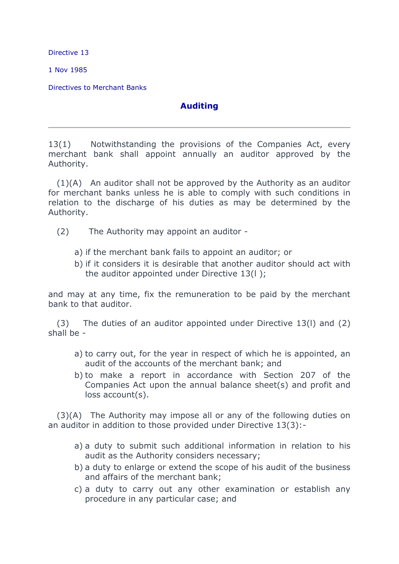Directive 13

1 Nov 1985

Directives to Merchant Banks

## **Auditing**

13(1) Notwithstanding the provisions of the Companies Act, every merchant bank shall appoint annually an auditor approved by the Authority.

 $(1)(A)$  An auditor shall not be approved by the Authority as an auditor for merchant banks unless he is able to comply with such conditions in relation to the discharge of his duties as may be determined by the Authority.

- (2) The Authority may appoint an auditor
	- a) if the merchant bank fails to appoint an auditor; or
	- b) if it considers it is desirable that another auditor should act with the auditor appointed under Directive 13(l );

and may at any time, fix the remuneration to be paid by the merchant bank to that auditor.

(3) The duties of an auditor appointed under Directive 13(l) and (2) shall be -

- a) to carry out, for the year in respect of which he is appointed, an audit of the accounts of the merchant bank; and
- b) to make a report in accordance with Section 207 of the Companies Act upon the annual balance sheet(s) and profit and loss account(s).

(3)(A) The Authority may impose all or any of the following duties on an auditor in addition to those provided under Directive 13(3):-

- a) a duty to submit such additional information in relation to his audit as the Authority considers necessary;
- b) a duty to enlarge or extend the scope of his audit of the business and affairs of the merchant bank;
- c) a duty to carry out any other examination or establish any procedure in any particular case; and